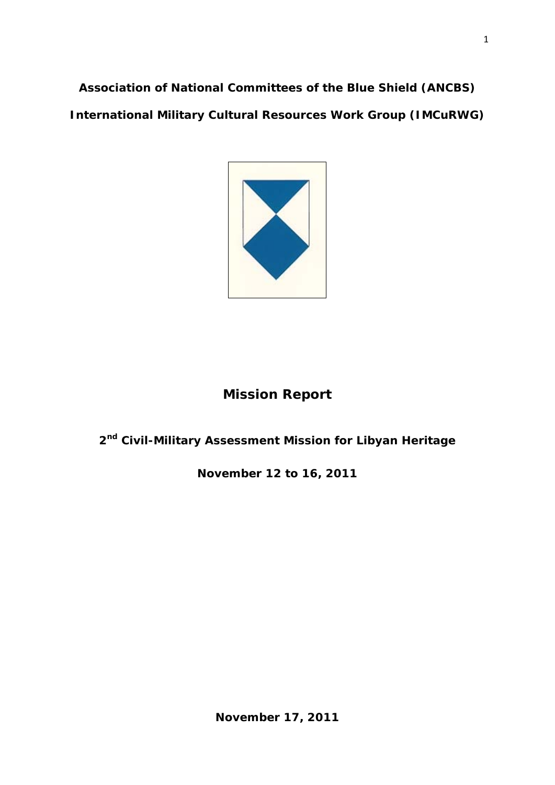**Association of National Committees of the Blue Shield (ANCBS) International Military Cultural Resources Work Group (IMCuRWG)** 



# **Mission Report**

# **2nd Civil-Military Assessment Mission for Libyan Heritage**

**November 12 to 16, 2011**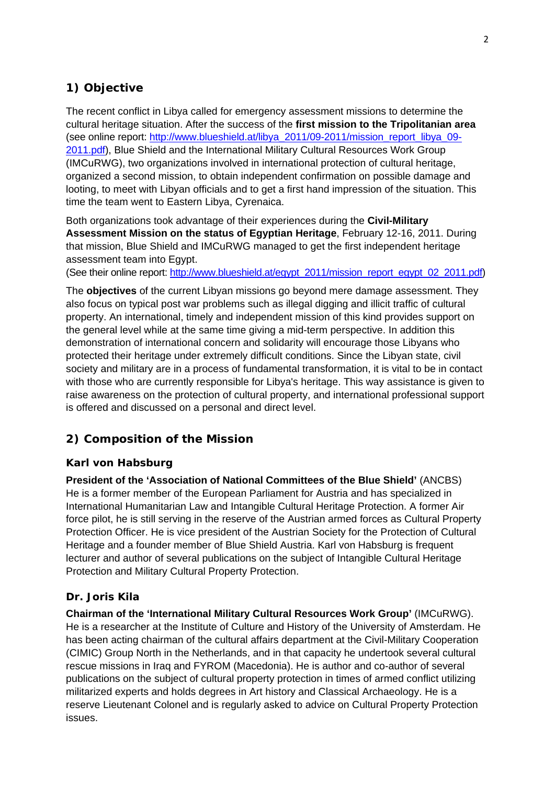## **1) Objective**

The recent conflict in Libya called for emergency assessment missions to determine the cultural heritage situation. After the success of the **first mission to the Tripolitanian area** (see online report: http://www.blueshield.at/libya\_2011/09-2011/mission\_report\_libya\_09- 2011.pdf), Blue Shield and the International Military Cultural Resources Work Group (IMCuRWG), two organizations involved in international protection of cultural heritage, organized a second mission, to obtain independent confirmation on possible damage and looting, to meet with Libyan officials and to get a first hand impression of the situation. This time the team went to Eastern Libya, Cyrenaica.

Both organizations took advantage of their experiences during the **Civil-Military Assessment Mission on the status of Egyptian Heritage**, February 12-16, 2011. During that mission, Blue Shield and IMCuRWG managed to get the first independent heritage assessment team into Egypt.

(See their online report: http://www.blueshield.at/egypt\_2011/mission\_report\_egypt\_02\_2011.pdf)

The **objectives** of the current Libyan missions go beyond mere damage assessment. They also focus on typical post war problems such as illegal digging and illicit traffic of cultural property. An international, timely and independent mission of this kind provides support on the general level while at the same time giving a mid-term perspective. In addition this demonstration of international concern and solidarity will encourage those Libyans who protected their heritage under extremely difficult conditions. Since the Libyan state, civil society and military are in a process of fundamental transformation, it is vital to be in contact with those who are currently responsible for Libya's heritage. This way assistance is given to raise awareness on the protection of cultural property, and international professional support is offered and discussed on a personal and direct level.

## **2) Composition of the Mission**

## **Karl von Habsburg**

**President of the 'Association of National Committees of the Blue Shield'** (ANCBS) He is a former member of the European Parliament for Austria and has specialized in International Humanitarian Law and Intangible Cultural Heritage Protection. A former Air force pilot, he is still serving in the reserve of the Austrian armed forces as Cultural Property Protection Officer. He is vice president of the Austrian Society for the Protection of Cultural Heritage and a founder member of Blue Shield Austria. Karl von Habsburg is frequent lecturer and author of several publications on the subject of Intangible Cultural Heritage Protection and Military Cultural Property Protection.

## **Dr. Joris Kila**

**Chairman of the 'International Military Cultural Resources Work Group'** (IMCuRWG). He is a researcher at the Institute of Culture and History of the University of Amsterdam. He has been acting chairman of the cultural affairs department at the Civil-Military Cooperation (CIMIC) Group North in the Netherlands, and in that capacity he undertook several cultural rescue missions in Iraq and FYROM (Macedonia). He is author and co-author of several publications on the subject of cultural property protection in times of armed conflict utilizing militarized experts and holds degrees in Art history and Classical Archaeology. He is a reserve Lieutenant Colonel and is regularly asked to advice on Cultural Property Protection issues.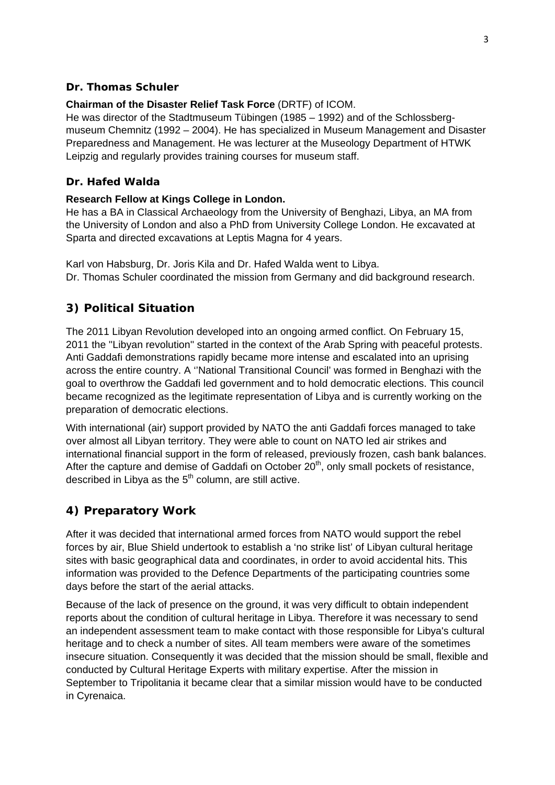### **Dr. Thomas Schuler**

### **Chairman of the Disaster Relief Task Force** (DRTF) of ICOM.

He was director of the Stadtmuseum Tübingen (1985 – 1992) and of the Schlossbergmuseum Chemnitz (1992 – 2004). He has specialized in Museum Management and Disaster Preparedness and Management. He was lecturer at the Museology Department of HTWK Leipzig and regularly provides training courses for museum staff.

### **Dr. Hafed Walda**

### **Research Fellow at Kings College in London.**

He has a BA in Classical Archaeology from the University of Benghazi, Libya, an MA from the University of London and also a PhD from University College London. He excavated at Sparta and directed excavations at Leptis Magna for 4 years.

Karl von Habsburg, Dr. Joris Kila and Dr. Hafed Walda went to Libya. Dr. Thomas Schuler coordinated the mission from Germany and did background research.

## **3) Political Situation**

The 2011 Libyan Revolution developed into an ongoing armed conflict. On February 15, 2011 the ''Libyan revolution'' started in the context of the Arab Spring with peaceful protests. Anti Gaddafi demonstrations rapidly became more intense and escalated into an uprising across the entire country. A ''National Transitional Council' was formed in Benghazi with the goal to overthrow the Gaddafi led government and to hold democratic elections. This council became recognized as the legitimate representation of Libya and is currently working on the preparation of democratic elections.

With international (air) support provided by NATO the anti Gaddafi forces managed to take over almost all Libyan territory. They were able to count on NATO led air strikes and international financial support in the form of released, previously frozen, cash bank balances. After the capture and demise of Gaddafi on October  $20<sup>th</sup>$ , only small pockets of resistance, described in Libya as the  $5<sup>th</sup>$  column, are still active.

## **4) Preparatory Work**

After it was decided that international armed forces from NATO would support the rebel forces by air, Blue Shield undertook to establish a 'no strike list' of Libyan cultural heritage sites with basic geographical data and coordinates, in order to avoid accidental hits. This information was provided to the Defence Departments of the participating countries some days before the start of the aerial attacks.

Because of the lack of presence on the ground, it was very difficult to obtain independent reports about the condition of cultural heritage in Libya. Therefore it was necessary to send an independent assessment team to make contact with those responsible for Libya's cultural heritage and to check a number of sites. All team members were aware of the sometimes insecure situation. Consequently it was decided that the mission should be small, flexible and conducted by Cultural Heritage Experts with military expertise. After the mission in September to Tripolitania it became clear that a similar mission would have to be conducted in Cyrenaica.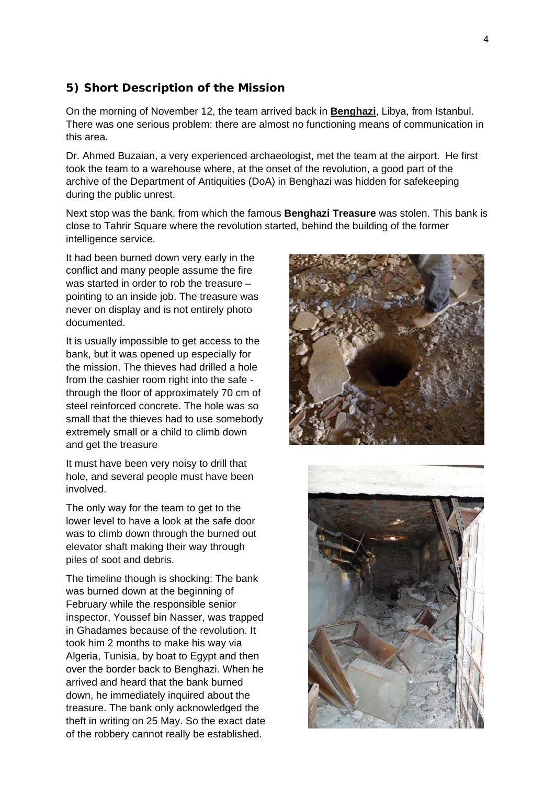## **5) Short Description of the Mission**

On the morning of November 12, the team arrived back in **Benghazi**, Libya, from Istanbul. There was one serious problem: there are almost no functioning means of communication in this area.

Dr. Ahmed Buzaian, a very experienced archaeologist, met the team at the airport. He first took the team to a warehouse where, at the onset of the revolution, a good part of the archive of the Department of Antiquities (DoA) in Benghazi was hidden for safekeeping during the public unrest.

Next stop was the bank, from which the famous **Benghazi Treasure** was stolen. This bank is close to Tahrir Square where the revolution started, behind the building of the former intelligence service.

It had been burned down very early in the conflict and many people assume the fire was started in order to rob the treasure – pointing to an inside job. The treasure was never on display and is not entirely photo documented.

It is usually impossible to get access to the bank, but it was opened up especially for the mission. The thieves had drilled a hole from the cashier room right into the safe through the floor of approximately 70 cm of steel reinforced concrete. The hole was so small that the thieves had to use somebody extremely small or a child to climb down and get the treasure

It must have been very noisy to drill that hole, and several people must have been involved.

The only way for the team to get to the lower level to have a look at the safe door was to climb down through the burned out elevator shaft making their way through piles of soot and debris.

The timeline though is shocking: The bank was burned down at the beginning of February while the responsible senior inspector, Youssef bin Nasser, was trapped in Ghadames because of the revolution. It took him 2 months to make his way via Algeria, Tunisia, by boat to Egypt and then over the border back to Benghazi. When he arrived and heard that the bank burned down, he immediately inquired about the treasure. The bank only acknowledged the theft in writing on 25 May. So the exact date of the robbery cannot really be established.



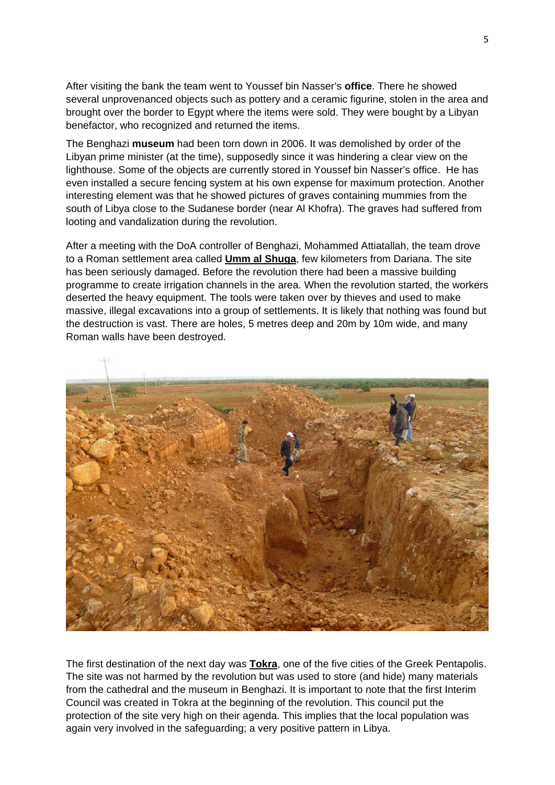After visiting the bank the team went to Youssef bin Nasser's **office**. There he showed several unprovenanced objects such as pottery and a ceramic figurine, stolen in the area and brought over the border to Egypt where the items were sold. They were bought by a Libyan benefactor, who recognized and returned the items.

The Benghazi **museum** had been torn down in 2006. It was demolished by order of the Libyan prime minister (at the time), supposedly since it was hindering a clear view on the lighthouse. Some of the objects are currently stored in Youssef bin Nasser's office. He has even installed a secure fencing system at his own expense for maximum protection. Another interesting element was that he showed pictures of graves containing mummies from the south of Libya close to the Sudanese border (near Al Khofra). The graves had suffered from looting and vandalization during the revolution.

After a meeting with the DoA controller of Benghazi, Mohammed Attiatallah, the team drove to a Roman settlement area called **Umm al Shuga**, few kilometers from Dariana. The site has been seriously damaged. Before the revolution there had been a massive building programme to create irrigation channels in the area. When the revolution started, the workers deserted the heavy equipment. The tools were taken over by thieves and used to make massive, illegal excavations into a group of settlements. It is likely that nothing was found but the destruction is vast. There are holes, 5 metres deep and 20m by 10m wide, and many Roman walls have been destroyed.



The first destination of the next day was **Tokra**, one of the five cities of the Greek Pentapolis. The site was not harmed by the revolution but was used to store (and hide) many materials from the cathedral and the museum in Benghazi. It is important to note that the first Interim Council was created in Tokra at the beginning of the revolution. This council put the protection of the site very high on their agenda. This implies that the local population was again very involved in the safeguarding; a very positive pattern in Libya.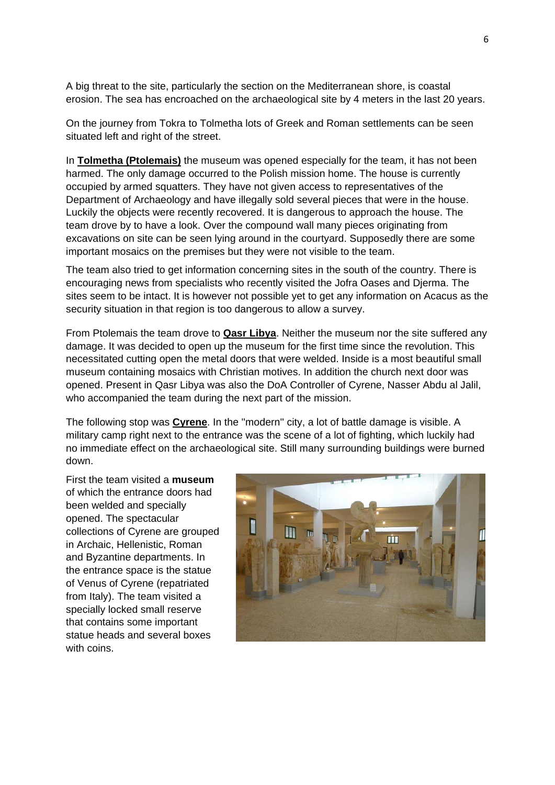A big threat to the site, particularly the section on the Mediterranean shore, is coastal erosion. The sea has encroached on the archaeological site by 4 meters in the last 20 years.

On the journey from Tokra to Tolmetha lots of Greek and Roman settlements can be seen situated left and right of the street.

In **Tolmetha (Ptolemais)** the museum was opened especially for the team, it has not been harmed. The only damage occurred to the Polish mission home. The house is currently occupied by armed squatters. They have not given access to representatives of the Department of Archaeology and have illegally sold several pieces that were in the house. Luckily the objects were recently recovered. It is dangerous to approach the house. The team drove by to have a look. Over the compound wall many pieces originating from excavations on site can be seen lying around in the courtyard. Supposedly there are some important mosaics on the premises but they were not visible to the team.

The team also tried to get information concerning sites in the south of the country. There is encouraging news from specialists who recently visited the Jofra Oases and Djerma. The sites seem to be intact. It is however not possible yet to get any information on Acacus as the security situation in that region is too dangerous to allow a survey.

From Ptolemais the team drove to **Qasr Libya**. Neither the museum nor the site suffered any damage. It was decided to open up the museum for the first time since the revolution. This necessitated cutting open the metal doors that were welded. Inside is a most beautiful small museum containing mosaics with Christian motives. In addition the church next door was opened. Present in Qasr Libya was also the DoA Controller of Cyrene, Nasser Abdu al Jalil, who accompanied the team during the next part of the mission.

The following stop was **Cyrene**. In the ''modern'' city, a lot of battle damage is visible. A military camp right next to the entrance was the scene of a lot of fighting, which luckily had no immediate effect on the archaeological site. Still many surrounding buildings were burned down.

First the team visited a **museum** of which the entrance doors had been welded and specially opened. The spectacular collections of Cyrene are grouped in Archaic, Hellenistic, Roman and Byzantine departments. In the entrance space is the statue of Venus of Cyrene (repatriated from Italy). The team visited a specially locked small reserve that contains some important statue heads and several boxes with coins.

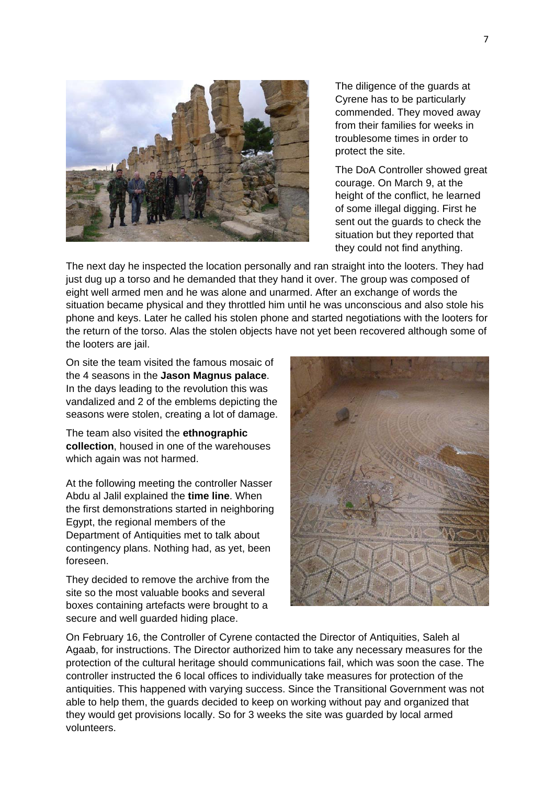

The diligence of the guards at Cyrene has to be particularly commended. They moved away from their families for weeks in troublesome times in order to protect the site.

The DoA Controller showed great courage. On March 9, at the height of the conflict, he learned of some illegal digging. First he sent out the guards to check the situation but they reported that they could not find anything.

The next day he inspected the location personally and ran straight into the looters. They had just dug up a torso and he demanded that they hand it over. The group was composed of eight well armed men and he was alone and unarmed. After an exchange of words the situation became physical and they throttled him until he was unconscious and also stole his phone and keys. Later he called his stolen phone and started negotiations with the looters for the return of the torso. Alas the stolen objects have not yet been recovered although some of the looters are jail.

On site the team visited the famous mosaic of the 4 seasons in the **Jason Magnus palace**. In the days leading to the revolution this was vandalized and 2 of the emblems depicting the seasons were stolen, creating a lot of damage.

The team also visited the **ethnographic collection**, housed in one of the warehouses which again was not harmed.

At the following meeting the controller Nasser Abdu al Jalil explained the **time line**. When the first demonstrations started in neighboring Egypt, the regional members of the Department of Antiquities met to talk about contingency plans. Nothing had, as yet, been foreseen.

They decided to remove the archive from the site so the most valuable books and several boxes containing artefacts were brought to a secure and well guarded hiding place.



On February 16, the Controller of Cyrene contacted the Director of Antiquities, Saleh al Agaab, for instructions. The Director authorized him to take any necessary measures for the protection of the cultural heritage should communications fail, which was soon the case. The controller instructed the 6 local offices to individually take measures for protection of the antiquities. This happened with varying success. Since the Transitional Government was not able to help them, the guards decided to keep on working without pay and organized that they would get provisions locally. So for 3 weeks the site was guarded by local armed volunteers.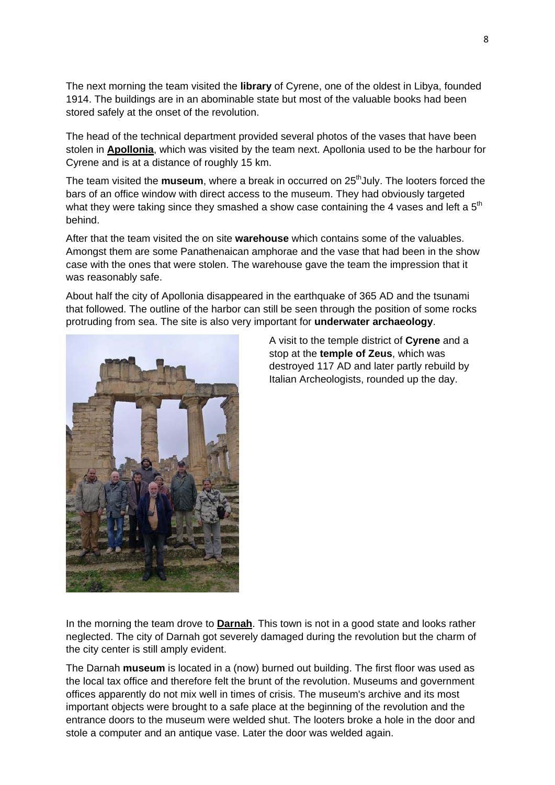The next morning the team visited the **library** of Cyrene, one of the oldest in Libya, founded 1914. The buildings are in an abominable state but most of the valuable books had been stored safely at the onset of the revolution.

The head of the technical department provided several photos of the vases that have been stolen in **Apollonia**, which was visited by the team next. Apollonia used to be the harbour for Cyrene and is at a distance of roughly 15 km.

The team visited the **museum**, where a break in occurred on 25<sup>th</sup>July. The looters forced the bars of an office window with direct access to the museum. They had obviously targeted what they were taking since they smashed a show case containing the 4 vases and left a  $5<sup>th</sup>$ behind.

After that the team visited the on site **warehouse** which contains some of the valuables. Amongst them are some Panathenaican amphorae and the vase that had been in the show case with the ones that were stolen. The warehouse gave the team the impression that it was reasonably safe.

About half the city of Apollonia disappeared in the earthquake of 365 AD and the tsunami that followed. The outline of the harbor can still be seen through the position of some rocks protruding from sea. The site is also very important for **underwater archaeology**.



A visit to the temple district of **Cyrene** and a stop at the **temple of Zeus**, which was destroyed 117 AD and later partly rebuild by Italian Archeologists, rounded up the day.

In the morning the team drove to **Darnah**. This town is not in a good state and looks rather neglected. The city of Darnah got severely damaged during the revolution but the charm of the city center is still amply evident.

The Darnah **museum** is located in a (now) burned out building. The first floor was used as the local tax office and therefore felt the brunt of the revolution. Museums and government offices apparently do not mix well in times of crisis. The museum's archive and its most important objects were brought to a safe place at the beginning of the revolution and the entrance doors to the museum were welded shut. The looters broke a hole in the door and stole a computer and an antique vase. Later the door was welded again.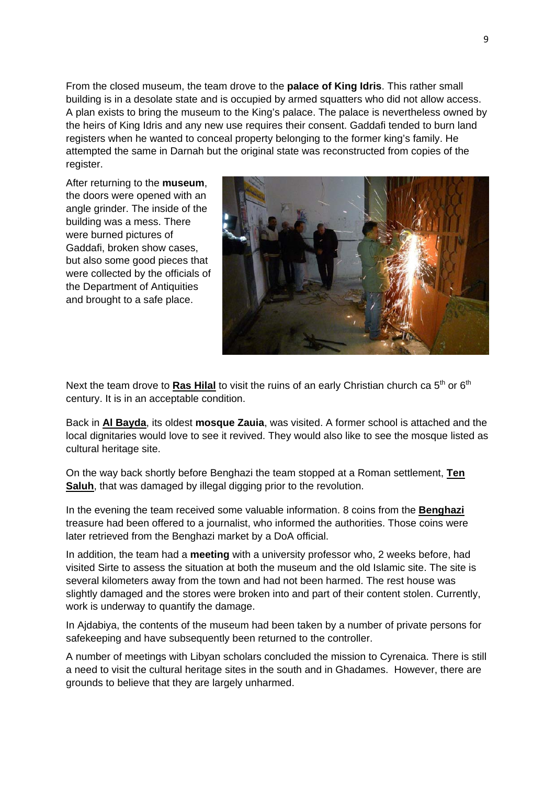From the closed museum, the team drove to the **palace of King Idris**. This rather small building is in a desolate state and is occupied by armed squatters who did not allow access. A plan exists to bring the museum to the King's palace. The palace is nevertheless owned by the heirs of King Idris and any new use requires their consent. Gaddafi tended to burn land registers when he wanted to conceal property belonging to the former king's family. He attempted the same in Darnah but the original state was reconstructed from copies of the register.

After returning to the **museum**, the doors were opened with an angle grinder. The inside of the building was a mess. There were burned pictures of Gaddafi, broken show cases, but also some good pieces that were collected by the officials of the Department of Antiquities and brought to a safe place.



Next the team drove to **Ras Hilal** to visit the ruins of an early Christian church ca 5<sup>th</sup> or 6<sup>th</sup> century. It is in an acceptable condition.

Back in **Al Bayda**, its oldest **mosque Zauia**, was visited. A former school is attached and the local dignitaries would love to see it revived. They would also like to see the mosque listed as cultural heritage site.

On the way back shortly before Benghazi the team stopped at a Roman settlement, **Ten Saluh**, that was damaged by illegal digging prior to the revolution.

In the evening the team received some valuable information. 8 coins from the **Benghazi** treasure had been offered to a journalist, who informed the authorities. Those coins were later retrieved from the Benghazi market by a DoA official.

In addition, the team had a **meeting** with a university professor who, 2 weeks before, had visited Sirte to assess the situation at both the museum and the old Islamic site. The site is several kilometers away from the town and had not been harmed. The rest house was slightly damaged and the stores were broken into and part of their content stolen. Currently, work is underway to quantify the damage.

In Ajdabiya, the contents of the museum had been taken by a number of private persons for safekeeping and have subsequently been returned to the controller.

A number of meetings with Libyan scholars concluded the mission to Cyrenaica. There is still a need to visit the cultural heritage sites in the south and in Ghadames. However, there are grounds to believe that they are largely unharmed.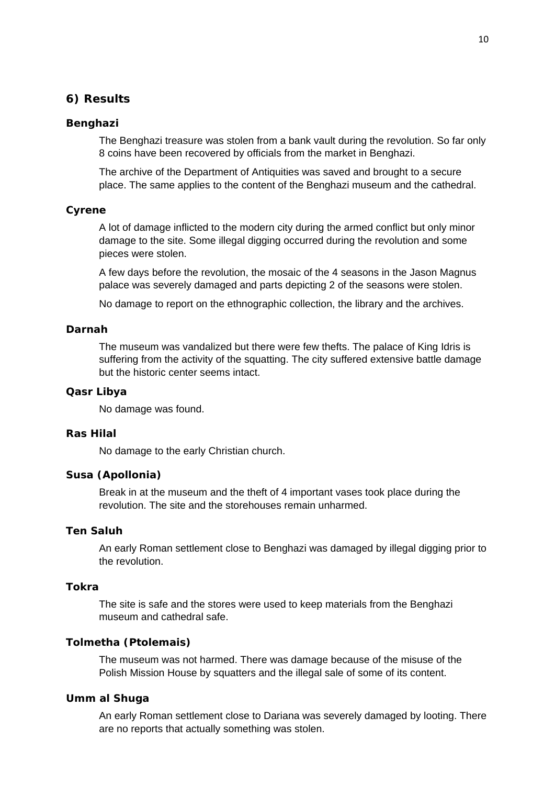## **6) Results**

#### **Benghazi**

The Benghazi treasure was stolen from a bank vault during the revolution. So far only 8 coins have been recovered by officials from the market in Benghazi.

The archive of the Department of Antiquities was saved and brought to a secure place. The same applies to the content of the Benghazi museum and the cathedral.

#### **Cyrene**

A lot of damage inflicted to the modern city during the armed conflict but only minor damage to the site. Some illegal digging occurred during the revolution and some pieces were stolen.

A few days before the revolution, the mosaic of the 4 seasons in the Jason Magnus palace was severely damaged and parts depicting 2 of the seasons were stolen.

No damage to report on the ethnographic collection, the library and the archives.

#### **Darnah**

The museum was vandalized but there were few thefts. The palace of King Idris is suffering from the activity of the squatting. The city suffered extensive battle damage but the historic center seems intact.

#### **Qasr Libya**

No damage was found.

#### **Ras Hilal**

No damage to the early Christian church.

#### **Susa (Apollonia)**

Break in at the museum and the theft of 4 important vases took place during the revolution. The site and the storehouses remain unharmed.

#### **Ten Saluh**

An early Roman settlement close to Benghazi was damaged by illegal digging prior to the revolution.

### **Tokra**

The site is safe and the stores were used to keep materials from the Benghazi museum and cathedral safe.

#### **Tolmetha (Ptolemais)**

The museum was not harmed. There was damage because of the misuse of the Polish Mission House by squatters and the illegal sale of some of its content.

#### **Umm al Shuga**

An early Roman settlement close to Dariana was severely damaged by looting. There are no reports that actually something was stolen.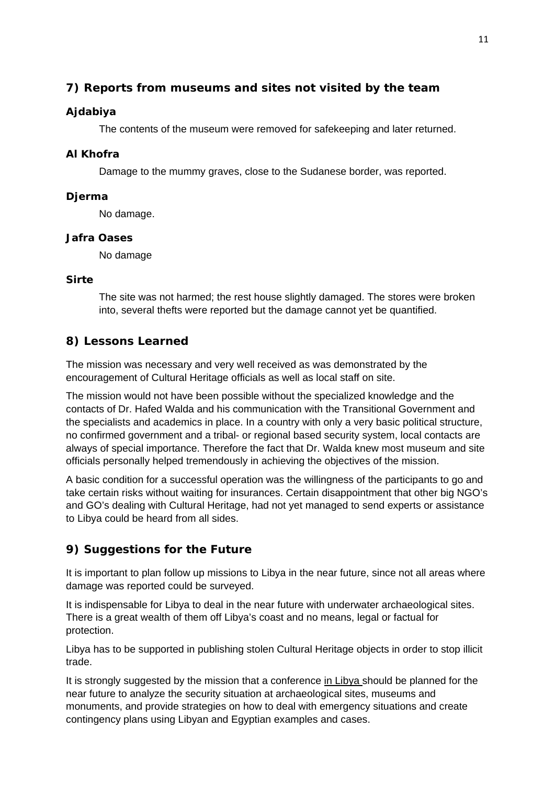## **7) Reports from museums and sites not visited by the team**

## **Ajdabiya**

The contents of the museum were removed for safekeeping and later returned.

### **Al Khofra**

Damage to the mummy graves, close to the Sudanese border, was reported.

### **Djerma**

No damage.

### **Jafra Oases**

No damage

### **Sirte**

The site was not harmed; the rest house slightly damaged. The stores were broken into, several thefts were reported but the damage cannot yet be quantified.

## **8) Lessons Learned**

The mission was necessary and very well received as was demonstrated by the encouragement of Cultural Heritage officials as well as local staff on site.

The mission would not have been possible without the specialized knowledge and the contacts of Dr. Hafed Walda and his communication with the Transitional Government and the specialists and academics in place. In a country with only a very basic political structure, no confirmed government and a tribal- or regional based security system, local contacts are always of special importance. Therefore the fact that Dr. Walda knew most museum and site officials personally helped tremendously in achieving the objectives of the mission.

A basic condition for a successful operation was the willingness of the participants to go and take certain risks without waiting for insurances. Certain disappointment that other big NGO's and GO's dealing with Cultural Heritage, had not yet managed to send experts or assistance to Libya could be heard from all sides.

## **9) Suggestions for the Future**

It is important to plan follow up missions to Libya in the near future, since not all areas where damage was reported could be surveyed.

It is indispensable for Libya to deal in the near future with underwater archaeological sites. There is a great wealth of them off Libya's coast and no means, legal or factual for protection.

Libya has to be supported in publishing stolen Cultural Heritage objects in order to stop illicit trade.

It is strongly suggested by the mission that a conference in Libya should be planned for the near future to analyze the security situation at archaeological sites, museums and monuments, and provide strategies on how to deal with emergency situations and create contingency plans using Libyan and Egyptian examples and cases.